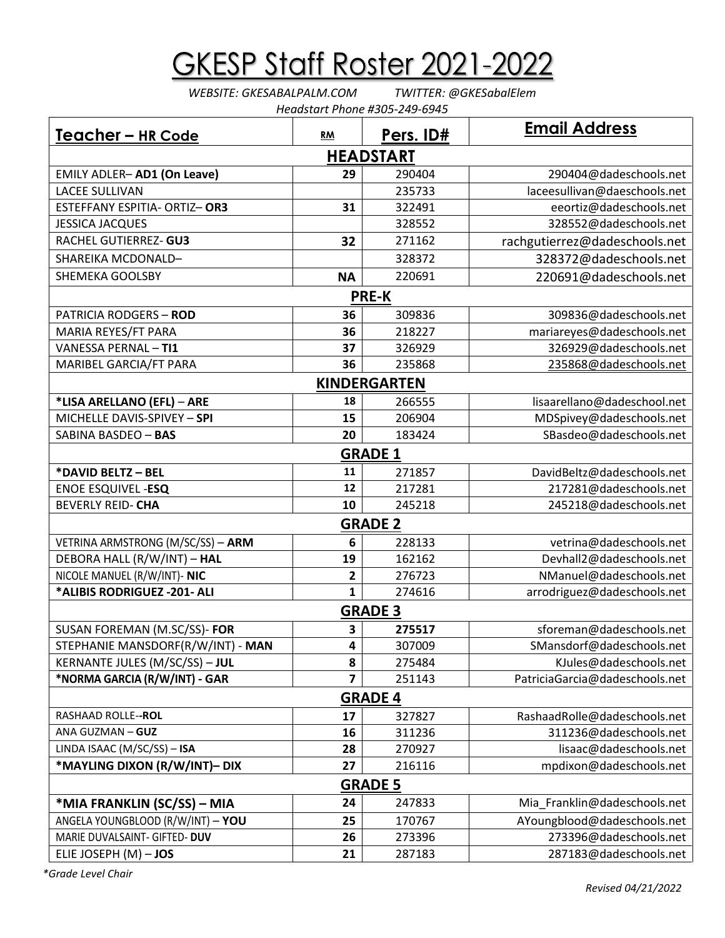## **GKESP Staff Roster 2021-2022**

*WEBSITE: GKESABALPALM.COM TWITTER: @GKESabalElem Headstart Phone #305-249-6945*

| Teacher - HR Code                 | RM        | Pers. ID#    | <b>Email Address</b>           |  |  |  |  |
|-----------------------------------|-----------|--------------|--------------------------------|--|--|--|--|
| <b>HEADSTART</b>                  |           |              |                                |  |  |  |  |
| <b>EMILY ADLER-AD1 (On Leave)</b> | 29        | 290404       | 290404@dadeschools.net         |  |  |  |  |
| <b>LACEE SULLIVAN</b>             |           | 235733       | laceesullivan@daeschools.net   |  |  |  |  |
| ESTEFFANY ESPITIA- ORTIZ-OR3      | 31        | 322491       | eeortiz@dadeschools.net        |  |  |  |  |
| <b>JESSICA JACQUES</b>            |           | 328552       | 328552@dadeschools.net         |  |  |  |  |
| RACHEL GUTIERREZ- GU3             | 32        | 271162       | rachgutierrez@dadeschools.net  |  |  |  |  |
| SHAREIKA MCDONALD-                |           | 328372       | 328372@dadeschools.net         |  |  |  |  |
| SHEMEKA GOOLSBY                   | <b>NA</b> | 220691       | 220691@dadeschools.net         |  |  |  |  |
|                                   |           | <b>PRE-K</b> |                                |  |  |  |  |
| <b>PATRICIA RODGERS - ROD</b>     | 36        | 309836       | 309836@dadeschools.net         |  |  |  |  |
| MARIA REYES/FT PARA               | 36        | 218227       | mariareyes@dadeschools.net     |  |  |  |  |
| <b>VANESSA PERNAL - TI1</b>       | 37        | 326929       | 326929@dadeschools.net         |  |  |  |  |
| MARIBEL GARCIA/FT PARA            | 36        | 235868       | 235868@dadeschools.net         |  |  |  |  |
| <b>KINDERGARTEN</b>               |           |              |                                |  |  |  |  |
| *LISA ARELLANO (EFL) - ARE        | 18        | 266555       | lisaarellano@dadeschool.net    |  |  |  |  |
| MICHELLE DAVIS-SPIVEY - SPI       | 15        | 206904       | MDSpivey@dadeschools.net       |  |  |  |  |
| SABINA BASDEO - BAS               | 20        | 183424       | SBasdeo@dadeschools.net        |  |  |  |  |
| <b>GRADE 1</b>                    |           |              |                                |  |  |  |  |
| *DAVID BELTZ - BEL                | 11        | 271857       | DavidBeltz@dadeschools.net     |  |  |  |  |
| <b>ENOE ESQUIVEL -ESQ</b>         | 12        | 217281       | 217281@dadeschools.net         |  |  |  |  |
| <b>BEVERLY REID- CHA</b>          | 10        | 245218       | 245218@dadeschools.net         |  |  |  |  |
| <b>GRADE 2</b>                    |           |              |                                |  |  |  |  |
| VETRINA ARMSTRONG (M/SC/SS) - ARM | 6         | 228133       | vetrina@dadeschools.net        |  |  |  |  |
| DEBORA HALL (R/W/INT) - HAL       | 19        | 162162       | Devhall2@dadeschools.net       |  |  |  |  |
| NICOLE MANUEL (R/W/INT)- NIC      | 2         | 276723       | NManuel@dadeschools.net        |  |  |  |  |
| *ALIBIS RODRIGUEZ - 201- ALI      | 1         | 274616       | arrodriguez@dadeschools.net    |  |  |  |  |
| <b>GRADE 3</b>                    |           |              |                                |  |  |  |  |
| SUSAN FOREMAN (M.SC/SS)- FOR      | 3         | 275517       | sforeman@dadeschools.net       |  |  |  |  |
| STEPHANIE MANSDORF(R/W/INT) - MAN | 4         | 307009       | SMansdorf@dadeschools.net      |  |  |  |  |
| KERNANTE JULES (M/SC/SS) - JUL    | 8         | 275484       | KJules@dadeschools.net         |  |  |  |  |
| *NORMA GARCIA (R/W/INT) - GAR     | 7         | 251143       | PatriciaGarcia@dadeschools.net |  |  |  |  |
| <b>GRADE 4</b>                    |           |              |                                |  |  |  |  |
| RASHAAD ROLLE--ROL                | 17        | 327827       | RashaadRolle@dadeschools.net   |  |  |  |  |
| ANA GUZMAN - GUZ                  | 16        | 311236       | 311236@dadeschools.net         |  |  |  |  |
| LINDA ISAAC (M/SC/SS) - ISA       | 28        | 270927       | lisaac@dadeschools.net         |  |  |  |  |
| *MAYLING DIXON (R/W/INT)- DIX     | 27        | 216116       | mpdixon@dadeschools.net        |  |  |  |  |
| <b>GRADE 5</b>                    |           |              |                                |  |  |  |  |
| *MIA FRANKLIN (SC/SS) – MIA       | 24        | 247833       | Mia_Franklin@dadeschools.net   |  |  |  |  |
| ANGELA YOUNGBLOOD (R/W/INT) - YOU | 25        | 170767       | AYoungblood@dadeschools.net    |  |  |  |  |
| MARIE DUVALSAINT- GIFTED- DUV     | 26        | 273396       | 273396@dadeschools.net         |  |  |  |  |
| ELIE JOSEPH $(M)$ - JOS           | 21        | 287183       | 287183@dadeschools.net         |  |  |  |  |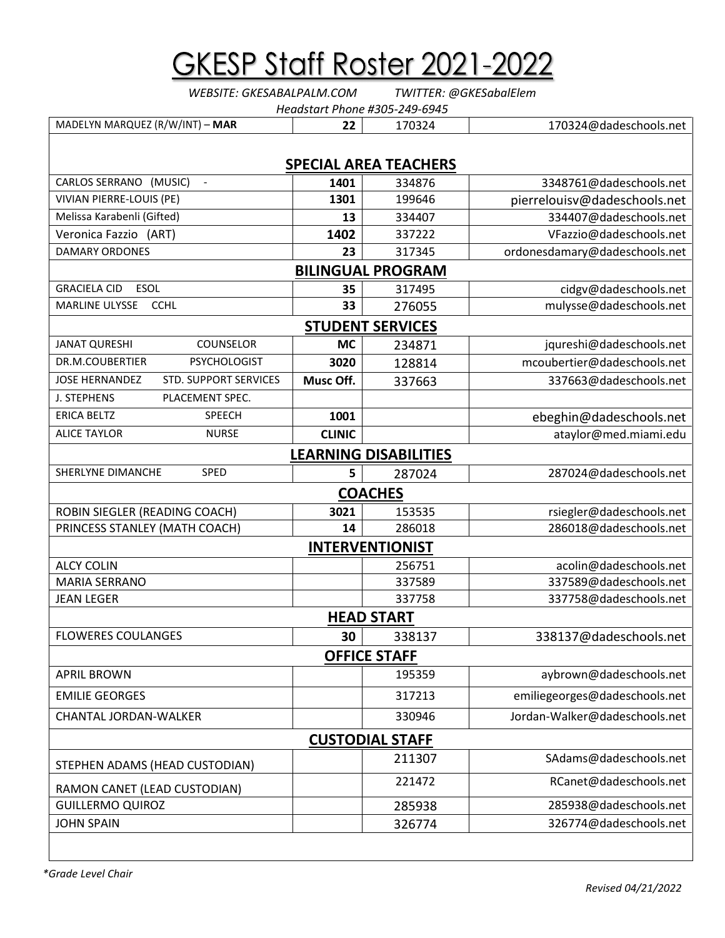| <u> GKESP Staff Roster 2021-2022</u>                                                 |               |                              |                               |  |  |  |  |
|--------------------------------------------------------------------------------------|---------------|------------------------------|-------------------------------|--|--|--|--|
| TWITTER: @GKESabalElem<br>WEBSITE: GKESABALPALM.COM<br>Headstart Phone #305-249-6945 |               |                              |                               |  |  |  |  |
| MADELYN MARQUEZ (R/W/INT) - MAR                                                      | 22            | 170324                       | 170324@dadeschools.net        |  |  |  |  |
| <b>SPECIAL AREA TEACHERS</b>                                                         |               |                              |                               |  |  |  |  |
| CARLOS SERRANO (MUSIC)<br>$\sim$                                                     | 1401          | 334876                       | 3348761@dadeschools.net       |  |  |  |  |
| <b>VIVIAN PIERRE-LOUIS (PE)</b>                                                      | 1301          | 199646                       | pierrelouisv@dadeschools.net  |  |  |  |  |
| Melissa Karabenli (Gifted)                                                           | 13            | 334407                       | 334407@dadeschools.net        |  |  |  |  |
| Veronica Fazzio (ART)                                                                | 1402          | 337222                       | VFazzio@dadeschools.net       |  |  |  |  |
| <b>DAMARY ORDONES</b>                                                                | 23            | 317345                       | ordonesdamary@dadeschools.net |  |  |  |  |
|                                                                                      |               | <b>BILINGUAL PROGRAM</b>     |                               |  |  |  |  |
| <b>GRACIELA CID</b><br>ESOL                                                          | 35            | 317495                       | cidgv@dadeschools.net         |  |  |  |  |
| <b>CCHL</b><br><b>MARLINE ULYSSE</b>                                                 | 33            | 276055                       | mulysse@dadeschools.net       |  |  |  |  |
|                                                                                      |               | <b>STUDENT SERVICES</b>      |                               |  |  |  |  |
| COUNSELOR<br><b>JANAT QURESHI</b>                                                    | <b>MC</b>     | 234871                       | jqureshi@dadeschools.net      |  |  |  |  |
| DR.M.COUBERTIER<br><b>PSYCHOLOGIST</b>                                               | 3020          | 128814                       | mcoubertier@dadeschools.net   |  |  |  |  |
| <b>JOSE HERNANDEZ</b><br><b>STD. SUPPORT SERVICES</b>                                | Musc Off.     | 337663                       | 337663@dadeschools.net        |  |  |  |  |
| PLACEMENT SPEC.<br>J. STEPHENS                                                       |               |                              |                               |  |  |  |  |
| <b>ERICA BELTZ</b><br><b>SPEECH</b>                                                  | 1001          |                              | ebeghin@dadeschools.net       |  |  |  |  |
| <b>ALICE TAYLOR</b><br><b>NURSE</b>                                                  | <b>CLINIC</b> |                              | ataylor@med.miami.edu         |  |  |  |  |
|                                                                                      |               | <b>LEARNING DISABILITIES</b> |                               |  |  |  |  |
| SHERLYNE DIMANCHE<br><b>SPED</b>                                                     | 5             | 287024                       | 287024@dadeschools.net        |  |  |  |  |
| <b>COACHES</b>                                                                       |               |                              |                               |  |  |  |  |
| ROBIN SIEGLER (READING COACH)                                                        | 3021          | 153535                       | rsiegler@dadeschools.net      |  |  |  |  |
| PRINCESS STANLEY (MATH COACH)                                                        | 14            | 286018                       | 286018@dadeschools.net        |  |  |  |  |
| <b>INTERVENTIONIST</b>                                                               |               |                              |                               |  |  |  |  |
| <b>ALCY COLIN</b>                                                                    |               | 256751                       | acolin@dadeschools.net        |  |  |  |  |
| <b>MARIA SERRANO</b>                                                                 |               | 337589                       | 337589@dadeschools.net        |  |  |  |  |
| <b>JEAN LEGER</b>                                                                    |               | 337758                       | 337758@dadeschools.net        |  |  |  |  |
| <b>HEAD START</b>                                                                    |               |                              |                               |  |  |  |  |
| <b>FLOWERES COULANGES</b>                                                            | 30            | 338137                       | 338137@dadeschools.net        |  |  |  |  |
| <b>OFFICE STAFF</b>                                                                  |               |                              |                               |  |  |  |  |
| <b>APRIL BROWN</b>                                                                   |               | 195359                       | aybrown@dadeschools.net       |  |  |  |  |
| <b>EMILIE GEORGES</b>                                                                |               | 317213                       | emiliegeorges@dadeschools.net |  |  |  |  |
| CHANTAL JORDAN-WALKER                                                                |               | 330946                       | Jordan-Walker@dadeschools.net |  |  |  |  |
| <b>CUSTODIAL STAFF</b>                                                               |               |                              |                               |  |  |  |  |

| <b>CUSTODIAL STAFF</b>         |  |        |                        |  |  |  |
|--------------------------------|--|--------|------------------------|--|--|--|
| STEPHEN ADAMS (HEAD CUSTODIAN) |  | 211307 | SAdams@dadeschools.net |  |  |  |
| RAMON CANET (LEAD CUSTODIAN)   |  | 221472 | RCanet@dadeschools.net |  |  |  |
| <b>GUILLERMO QUIROZ</b>        |  | 285938 | 285938@dadeschools.net |  |  |  |
| JOHN SPAIN                     |  | 326774 | 326774@dadeschools.net |  |  |  |